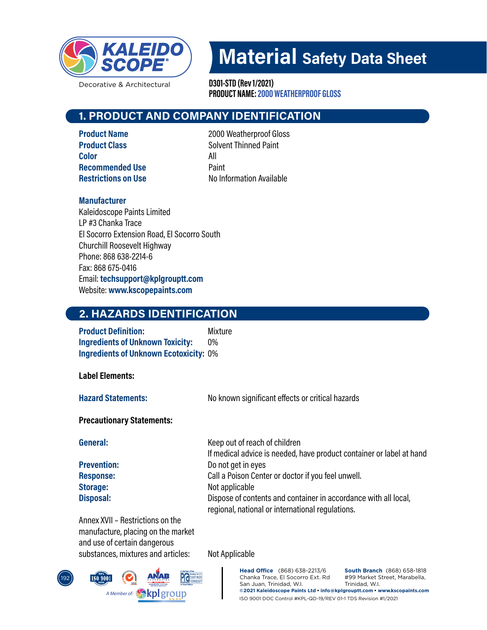

Decorative & Architectural

PRODUCT NAME: 2000 WEATHERPROOF GLOSS D301-STD (Rev 1/2021)

## 1. PRODUCT AND COMPANY IDENTIFICATION

Color All Recommended Use **Paint** 

**Product Name** 2000 Weatherproof Gloss **Product Class** Solvent Thinned Paint **Restrictions on Use No Information Available** 

#### Manufacturer

Kaleidoscope Paints Limited LP #3 Chanka Trace El Socorro Extension Road, El Socorro South Churchill Roosevelt Highway Phone: 868 638-2214-6 Fax: 868 675-0416 Email: techsupport@kplgrouptt.com Website: www.kscopepaints.com

## 2. HAZARDS IDENTIFICATION

**Product Definition:** Mixture Ingredients of Unknown Toxicity: 0% **Ingredients of Unknown Ecotoxicity: 0%** 

Label Elements:

**Hazard Statements:** No known significant effects or critical hazards

#### Precautionary Statements:

General: General: Keep out of reach of children If medical advice is needed, have product container or label at hand **Prevention:** Do not get in eyes Response: Call a Poison Center or doctor if you feel unwell. Storage: Not applicable Disposal: Dispose of contents and container in accordance with all local, regional, national or international regulations.

Annex XVII– Restrictions on the manufacture, placing on the market and use of certain dangerous substances, mixtures and articles: Not Applicable



ISO 9001 DOC Control #KPL-QD-19/REV 01-1 TDS Revision #1/2021 **Head Office** (868) 638-2213/6 Chanka Trace, El Socorro Ext. Rd San Juan, Trinidad, W.I. Trinidad, W.I. **©2021 Kaleidoscope Paints Ltd • info@kplgrouptt.com • www.kscopaints.com**

**South Branch** (868) 658-1818 #99 Market Street, Marabella,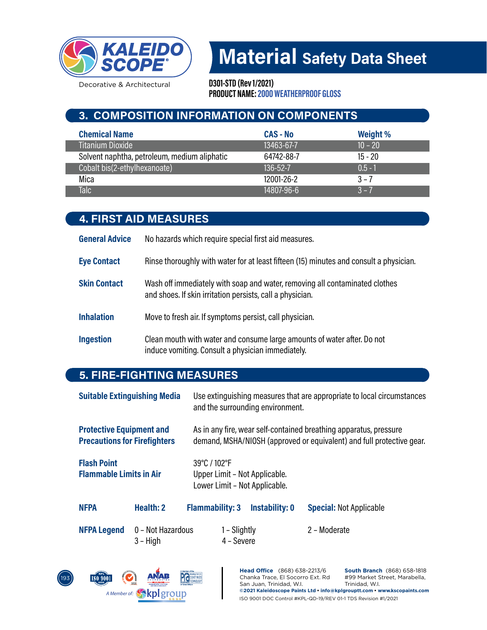

Decorative & Architectural

PRODUCT NAME: 2000 WEATHERPROOF GLOSS D301-STD (Rev 1/2021)

## 3. COMPOSITION INFORMATION ON COMPONENTS

| <b>Chemical Name</b>                         | <b>CAS-No</b>  | Weight %  |
|----------------------------------------------|----------------|-----------|
| <b>Titanium Dioxide</b>                      | 13463-67-7     | $10 - 20$ |
| Solvent naphtha, petroleum, medium aliphatic | 64742-88-7     | $15 - 20$ |
| Cobalt bis(2-ethylhexanoate)                 | $136 - 52 - 7$ | $0.5 - 1$ |
| Mica                                         | 12001-26-2     | $3 - 7$   |
| <b>Talc</b>                                  | 14807-96-6     | $3 - 7$   |

## 4. FIRST AID MEASURES

General Advice No hazards which require special first aid measures.

Eye Contact Rinse thoroughly with water for at least fifteen (15) minutes and consult a physician.

- Skin Contact Wash off immediately with soap and water, removing all contaminated clothes and shoes. If skin irritation persists, call a physician.
- **Inhalation** Move to fresh air. If symptoms persist, call physician.
- Ingestion Clean mouth with water and consume large amounts of water after. Do not induce vomiting. Consult a physician immediately.

## 5. FIRE-FIGHTING MEASURES

| <b>Suitable Extinguishing Media</b>                                    |                                 | Use extinguishing measures that are appropriate to local circumstances<br>and the surrounding environment. |                            |                       |                                                                                                                                            |
|------------------------------------------------------------------------|---------------------------------|------------------------------------------------------------------------------------------------------------|----------------------------|-----------------------|--------------------------------------------------------------------------------------------------------------------------------------------|
| <b>Protective Equipment and</b><br><b>Precautions for Firefighters</b> |                                 |                                                                                                            |                            |                       | As in any fire, wear self-contained breathing apparatus, pressure<br>demand, MSHA/NIOSH (approved or equivalent) and full protective gear. |
| <b>Flash Point</b><br><b>Flammable Limits in Air</b>                   |                                 | 39°C / 102°F<br>Upper Limit - Not Applicable.<br>Lower Limit - Not Applicable.                             |                            |                       |                                                                                                                                            |
| <b>NFPA</b>                                                            | Health: 2                       | <b>Flammability: 3</b>                                                                                     |                            | <b>Instability: 0</b> | <b>Special: Not Applicable</b>                                                                                                             |
| <b>NFPA Legend</b>                                                     | 0 - Not Hazardous<br>$3 - High$ |                                                                                                            | 1 – Slightly<br>4 - Severe |                       | 2 - Moderate                                                                                                                               |

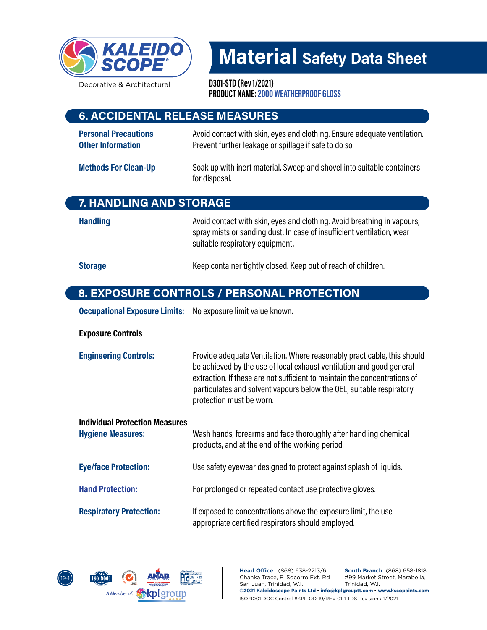

Decorative & Architectural

PRODUCT NAME: 2000 WEATHERPROOF GLOSS D301-STD (Rev 1/2021)

### 6. ACCIDENTAL RELEASE MEASURES

**Personal Precautions** Avoid contact with skin, eyes and clothing. Ensure adequate ventilation. Other Information **Prevent further leakage or spillage if safe to do so.** 

#### Methods For Clean-Up Soak up with inert material. Sweep and shovel into suitable containers for disposal.

## 7. HANDLING AND STORAGE

Handling **Handling** Avoid contact with skin, eyes and clothing. Avoid breathing in vapours, spray mists or sanding dust. In case of insufficient ventilation, wear suitable respiratory equipment.

Storage **Keep container tightly closed. Keep out of reach of children.** Storage

## 8. EXPOSURE CONTROLS / PERSONAL PROTECTION

**Occupational Exposure Limits:** No exposure limit value known.

#### Exposure Controls

| <b>Engineering Controls:</b> | Provide adequate Ventilation. Where reasonably practicable, this should<br>be achieved by the use of local exhaust ventilation and good general<br>extraction. If these are not sufficient to maintain the concentrations of<br>particulates and solvent vapours below the OEL, suitable respiratory<br>protection must be worn. |
|------------------------------|----------------------------------------------------------------------------------------------------------------------------------------------------------------------------------------------------------------------------------------------------------------------------------------------------------------------------------|
|------------------------------|----------------------------------------------------------------------------------------------------------------------------------------------------------------------------------------------------------------------------------------------------------------------------------------------------------------------------------|

| <b>Individual Protection Measures</b><br><b>Hygiene Measures:</b> | Wash hands, forearms and face thoroughly after handling chemical<br>products, and at the end of the working period.  |
|-------------------------------------------------------------------|----------------------------------------------------------------------------------------------------------------------|
| <b>Eye/face Protection:</b>                                       | Use safety eyewear designed to protect against splash of liquids.                                                    |
| <b>Hand Protection:</b>                                           | For prolonged or repeated contact use protective gloves.                                                             |
| <b>Respiratory Protection:</b>                                    | If exposed to concentrations above the exposure limit, the use<br>appropriate certified respirators should employed. |

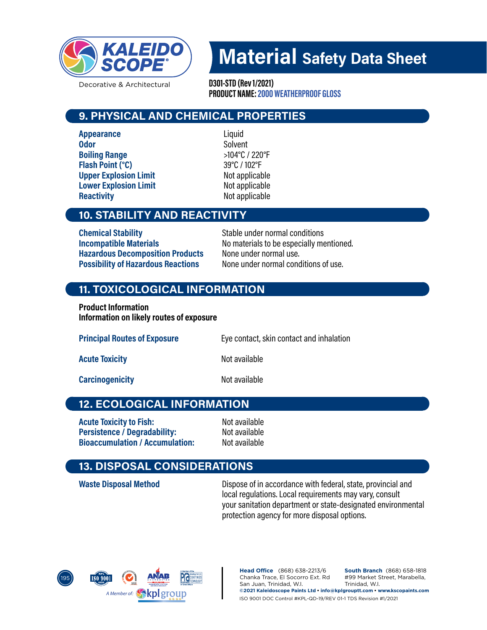

Decorative & Architectural

PRODUCT NAME: 2000 WEATHERPROOF GLOSS D301-STD (Rev 1/2021)

## 9. PHYSICAL AND CHEMICAL PROPERTIES

Appearance Liquid Odor Solvent Boiling Range  $>104^{\circ}$ C / 220 $^{\circ}$ F Flash Point (°C) 39°C / 102°F Upper Explosion Limit Not applicable Lower Explosion Limit Not applicable Reactivity **Notifiable** Not applicable

## 10. STABILITY AND REACTIVITY

**Chemical Stability** Stable under normal conditions Hazardous Decomposition Products None under normal use. Possibility of Hazardous Reactions Mone under normal conditions of use.

Incompatible Materials Normaterials No materials to be especially mentioned.

## 11. TOXICOLOGICAL INFORMATION

Product Information Information on likely routes of exposure

| <b>Principal Routes of Exposure</b> | Eye contact, skin contact and inhalation |
|-------------------------------------|------------------------------------------|
| <b>Acute Toxicity</b>               | Not available                            |
| <b>Carcinogenicity</b>              | Not available                            |

## 12. ECOLOGICAL INFORMATION

Acute Toxicity to Fish: Not available Persistence / Degradability: Not available<br>
Bioaccumulation / Accumulation: Not available Bioaccumulation / Accumulation:

## 13. DISPOSAL CONSIDERATIONS

Waste Disposal Method Dispose of in accordance with federal, state, provincial and local regulations. Local requirements may vary, consult your sanitation department or state-designated environmental protection agency for more disposal options.